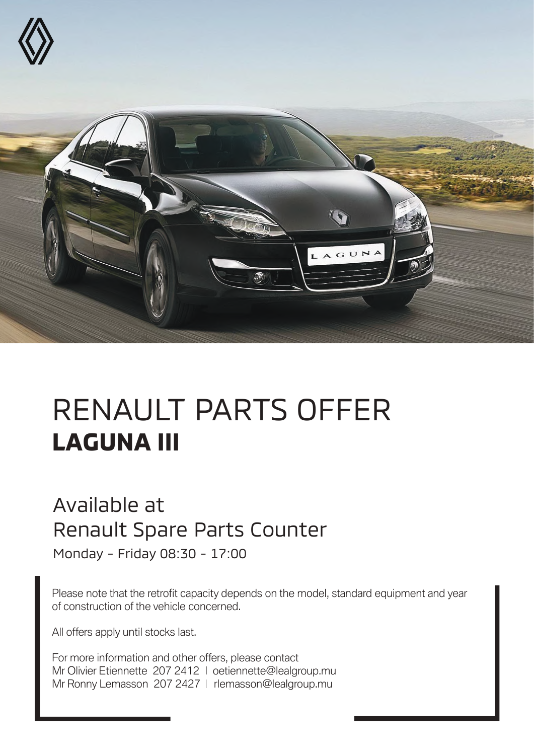

## RENAULT PARTS OFFER **LAGUNA III**

## Available at Renault Spare Parts Counter

Monday - Friday 08:30 - 17:00

Please note that the retrofit capacity depends on the model, standard equipment and year of construction of the vehicle concerned.

All offers apply until stocks last.

For more information and other offers, please contact Mr Olivier Etiennette 207 2412 | oetiennette@lealgroup.mu Mr Ronny Lemasson 207 2427 | rlemasson@lealgroup.mu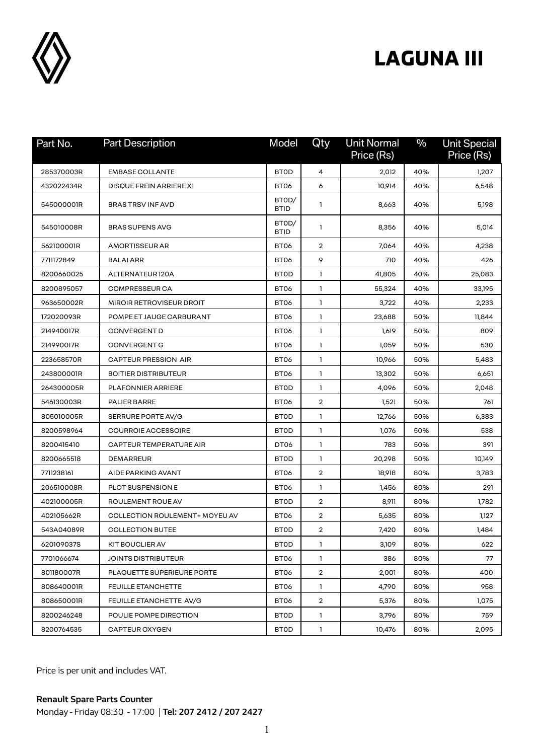

## **LAGUNA III**

| Part No.   | <b>Part Description</b>        | Model                | Qty            | <b>Unit Normal</b><br>Price (Rs) | $\frac{0}{0}$ | <b>Unit Special</b><br>Price (Rs) |
|------------|--------------------------------|----------------------|----------------|----------------------------------|---------------|-----------------------------------|
| 285370003R | <b>EMBASE COLLANTE</b>         | <b>BTOD</b>          | 4              | 2,012                            | 40%           | 1,207                             |
| 432022434R | DISQUE FREIN ARRIERE X1        | BT06                 | 6              | 10,914                           | 40%           | 6,548                             |
| 545000001R | <b>BRAS TRSV INF AVD</b>       | BTOD/<br><b>BTID</b> | 1              | 8,663                            | 40%           | 5,198                             |
| 545010008R | <b>BRAS SUPENS AVG</b>         | BTOD/<br><b>BTID</b> | 1              | 8,356                            | 40%           | 5,014                             |
| 562100001R | <b>AMORTISSEUR AR</b>          | BT <sub>06</sub>     | $\overline{2}$ | 7,064                            | 40%           | 4,238                             |
| 7711172849 | <b>BALAI ARR</b>               | BT06                 | 9              | 710                              | 40%           | 426                               |
| 8200660025 | ALTERNATEUR 120A               | <b>BTOD</b>          | 1              | 41,805                           | 40%           | 25,083                            |
| 8200895057 | <b>COMPRESSEUR CA</b>          | BT06                 | $\mathbf{1}$   | 55,324                           | 40%           | 33,195                            |
| 963650002R | MIROIR RETROVISEUR DROIT       | BT <sub>06</sub>     | $\mathbf{1}$   | 3,722                            | 40%           | 2,233                             |
| 172020093R | POMPE ET JAUGE CARBURANT       | BT06                 | $\mathbf{1}$   | 23,688                           | 50%           | 11,844                            |
| 214940017R | <b>CONVERGENT D</b>            | BT <sub>06</sub>     | 1              | 1,619                            | 50%           | 809                               |
| 214990017R | CONVERGENT G                   | BT06                 | $\mathbf{1}$   | 1,059                            | 50%           | 530                               |
| 223658570R | <b>CAPTEUR PRESSION AIR</b>    | BT06                 | 1              | 10,966                           | 50%           | 5,483                             |
| 243800001R | <b>BOITIER DISTRIBUTEUR</b>    | BT06                 | $\mathbf{1}$   | 13,302                           | 50%           | 6,651                             |
| 264300005R | <b>PLAFONNIER ARRIERE</b>      | <b>BTOD</b>          | 1              | 4,096                            | 50%           | 2,048                             |
| 546130003R | PALIER BARRE                   | BT <sub>06</sub>     | $\overline{2}$ | 1,521                            | 50%           | 761                               |
| 805010005R | SERRURE PORTE AV/G             | <b>BTOD</b>          | $\mathbf{1}$   | 12,766                           | 50%           | 6,383                             |
| 8200598964 | <b>COURROIE ACCESSOIRE</b>     | <b>BTOD</b>          | 1              | 1,076                            | 50%           | 538                               |
| 8200415410 | CAPTEUR TEMPERATURE AIR        | DT06                 | 1              | 783                              | 50%           | 391                               |
| 8200665518 | <b>DEMARREUR</b>               | <b>BTOD</b>          | 1              | 20,298                           | 50%           | 10,149                            |
| 7711238161 | AIDE PARKING AVANT             | BT <sub>06</sub>     | $\overline{2}$ | 18,918                           | 80%           | 3,783                             |
| 206510008R | PLOT SUSPENSION E              | BT06                 | 1              | 1,456                            | 80%           | 291                               |
| 402100005R | ROULEMENT ROUE AV              | <b>BTOD</b>          | $\overline{2}$ | 8,911                            | 80%           | 1,782                             |
| 402105662R | COLLECTION ROULEMENT+ MOYEU AV | BT06                 | $\overline{2}$ | 5,635                            | 80%           | 1,127                             |
| 543A04089R | <b>COLLECTION BUTEE</b>        | <b>BTOD</b>          | 2              | 7,420                            | 80%           | 1,484                             |
| 620109037S | KIT BOUCLIER AV                | <b>BTOD</b>          | 1              | 3,109                            | 80%           | 622                               |
| 7701066674 | JOINTS DISTRIBUTEUR            | BT06                 | 1              | 386                              | 80%           | 77                                |
| 801180007R | PLAQUETTE SUPERIEURE PORTE     | BT <sub>06</sub>     | $\overline{2}$ | 2,001                            | 80%           | 400                               |
| 808640001R | <b>FEUILLE ETANCHETTE</b>      | BT06                 | $\mathbf{1}$   | 4,790                            | 80%           | 958                               |
| 808650001R | FEUILLE ETANCHETTE AV/G        | BT06                 | $\overline{2}$ | 5,376                            | 80%           | 1,075                             |
| 8200246248 | POULIE POMPE DIRECTION         | <b>BTOD</b>          | $\mathbf{1}$   | 3,796                            | 80%           | 759                               |
| 8200764535 | <b>CAPTEUR OXYGEN</b>          | <b>BTOD</b>          | $\mathbf{1}$   | 10,476                           | 80%           | 2,095                             |

Price is per unit and includes VAT.